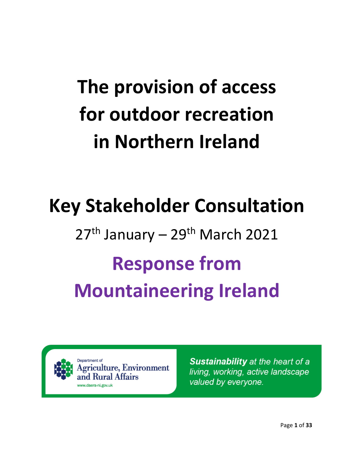# **The provision of access for outdoor recreation in Northern Ireland**

## **Key Stakeholder Consultation**

# $27<sup>th</sup>$  January –  $29<sup>th</sup>$  March 2021 **Response from Mountaineering Ireland**

Department of iculture, Environment dural Affairs ww.daera-ni.gov.uk

**Sustainability** at the heart of a living, working, active landscape valued by everyone.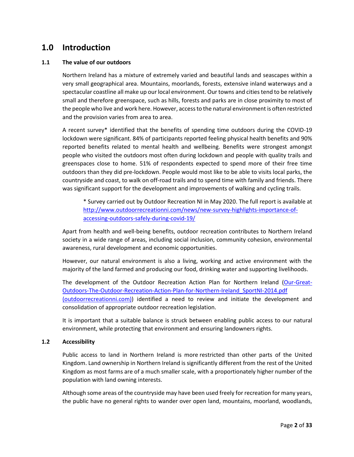## **1.0 Introduction**

#### **1.1 The value of our outdoors**

Northern Ireland has a mixture of extremely varied and beautiful lands and seascapes within a very small geographical area. Mountains, moorlands, forests, extensive inland waterways and a spectacular coastline all make up our local environment. Our towns and cities tend to be relatively small and therefore greenspace, such as hills, forests and parks are in close proximity to most of the people who live and work here. However, access to the natural environment is often restricted and the provision varies from area to area.

A recent survey\* identified that the benefits of spending time outdoors during the COVID-19 lockdown were significant. 84% of participants reported feeling physical health benefits and 90% reported benefits related to mental health and wellbeing. Benefits were strongest amongst people who visited the outdoors most often during lockdown and people with quality trails and greenspaces close to home. 51% of respondents expected to spend more of their free time outdoors than they did pre-lockdown. People would most like to be able to visits local parks, the countryside and coast, to walk on off-road trails and to spend time with family and friends. There was significant support for the development and improvements of walking and cycling trails.

\* Survey carried out by Outdoor Recreation NI in May 2020. The full report is available at [http://www.outdoorrecreationni.com/news/new-survey-highlights-importance-of](http://www.outdoorrecreationni.com/news/new-survey-highlights-importance-of-accessing-outdoors-safely-during-covid-19/)[accessing-outdoors-safely-during-covid-19/](http://www.outdoorrecreationni.com/news/new-survey-highlights-importance-of-accessing-outdoors-safely-during-covid-19/)

Apart from health and well-being benefits, outdoor recreation contributes to Northern Ireland society in a wide range of areas, including social inclusion, community cohesion, environmental awareness, rural development and economic opportunities.

However, our natural environment is also a living, working and active environment with the majority of the land farmed and producing our food, drinking water and supporting livelihoods.

The development of the Outdoor Recreation Action Plan for Northern Ireland [\(Our-Great-](http://www.outdoorrecreationni.com/wp-content/uploads/2015/11/Our-Great-Outdoors-The-Outdoor-Recreation-Action-Plan-for-Northern-Ireland_SportNI-2014.pdf)[Outdoors-The-Outdoor-Recreation-Action-Plan-for-Northern-Ireland\\_SportNI-2014.pdf](http://www.outdoorrecreationni.com/wp-content/uploads/2015/11/Our-Great-Outdoors-The-Outdoor-Recreation-Action-Plan-for-Northern-Ireland_SportNI-2014.pdf)  [\(outdoorrecreationni.com\)\)](http://www.outdoorrecreationni.com/wp-content/uploads/2015/11/Our-Great-Outdoors-The-Outdoor-Recreation-Action-Plan-for-Northern-Ireland_SportNI-2014.pdf) identified a need to review and initiate the development and consolidation of appropriate outdoor recreation legislation.

It is important that a suitable balance is struck between enabling public access to our natural environment, while protecting that environment and ensuring landowners rights.

#### **1.2 Accessibility**

Public access to land in Northern Ireland is more restricted than other parts of the United Kingdom. Land ownership in Northern Ireland is significantly different from the rest of the United Kingdom as most farms are of a much smaller scale, with a proportionately higher number of the population with land owning interests.

Although some areas of the countryside may have been used freely for recreation for many years, the public have no general rights to wander over open land, mountains, moorland, woodlands,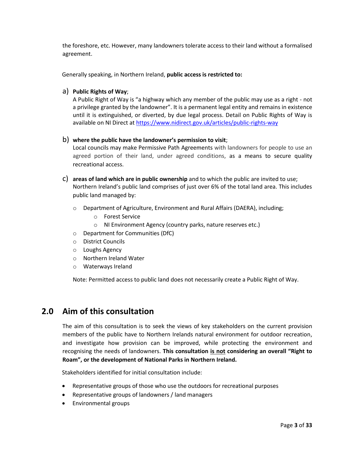the foreshore, etc. However, many landowners tolerate access to their land without a formalised agreement.

Generally speaking, in Northern Ireland, **public access is restricted to:**

#### a) **Public Rights of Way**;

A Public Right of Way is "a highway which any member of the public may use as a right - not a privilege granted by the landowner". It is a permanent legal entity and remains in existence until it is extinguished, or diverted, by due legal process. Detail on Public Rights of Way is available on NI Direct a[t https://www.nidirect.gov.uk/articles/public-rights-way](https://www.nidirect.gov.uk/articles/public-rights-way)

#### b) **where the public have the landowner's permission to visit**;

Local councils may make Permissive Path Agreements with landowners for people to use an agreed portion of their land, under agreed conditions, as a means to secure quality recreational access.

- c) **areas of land which are in public ownership** and to which the public are invited to use; Northern Ireland's public land comprises of just over 6% of the total land area. This includes public land managed by:
	- o Department of Agriculture, Environment and Rural Affairs (DAERA), including;
		- o Forest Service
		- o NI Environment Agency (country parks, nature reserves etc.)
	- o Department for Communities (DfC)
	- o District Councils
	- o Loughs Agency
	- o Northern Ireland Water
	- o Waterways Ireland

Note: Permitted access to public land does not necessarily create a Public Right of Way.

## **2.0 Aim of this consultation**

The aim of this consultation is to seek the views of key stakeholders on the current provision members of the public have to Northern Irelands natural environment for outdoor recreation, and investigate how provision can be improved, while protecting the environment and recognising the needs of landowners. **This consultation is not considering an overall "Right to Roam", or the development of National Parks in Northern Ireland.**

Stakeholders identified for initial consultation include:

- Representative groups of those who use the outdoors for recreational purposes
- Representative groups of landowners / land managers
- Environmental groups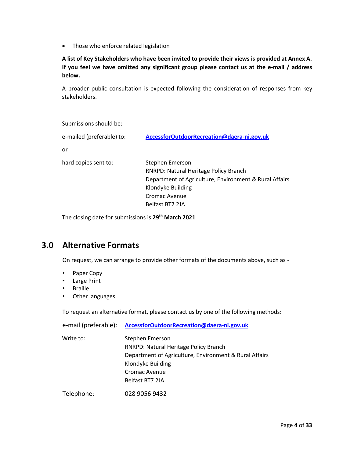• Those who enforce related legislation

**A list of Key Stakeholders who have been invited to provide their views is provided at Annex A. If you feel we have omitted any significant group please contact us at the e-mail / address below.**

A broader public consultation is expected following the consideration of responses from key stakeholders.

| Submissions should be:    |                                                                                                                                                                             |
|---------------------------|-----------------------------------------------------------------------------------------------------------------------------------------------------------------------------|
| e-mailed (preferable) to: | AccessforOutdoorRecreation@daera-ni.gov.uk                                                                                                                                  |
| or                        |                                                                                                                                                                             |
| hard copies sent to:      | Stephen Emerson<br>RNRPD: Natural Heritage Policy Branch<br>Department of Agriculture, Environment & Rural Affairs<br>Klondyke Building<br>Cromac Avenue<br>Belfast BT7 2JA |

The closing date for submissions is **29th March 2021**

## **3.0 Alternative Formats**

On request, we can arrange to provide other formats of the documents above, such as -

- Paper Copy
- Large Print
- Braille
- Other languages

To request an alternative format, please contact us by one of the following methods:

| e-mail (preferable): | AccessforOutdoorRecreation@daera-ni.gov.uk                                                                                                                                  |
|----------------------|-----------------------------------------------------------------------------------------------------------------------------------------------------------------------------|
| Write to:            | Stephen Emerson<br>RNRPD: Natural Heritage Policy Branch<br>Department of Agriculture, Environment & Rural Affairs<br>Klondyke Building<br>Cromac Avenue<br>Belfast BT7 2JA |
| Telephone:           | 028 9056 9432                                                                                                                                                               |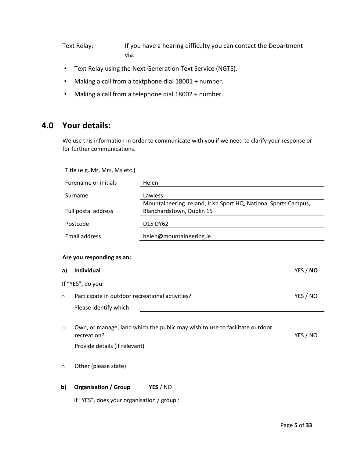Text Relay: If you have a hearing difficulty you can contact the Department via:

- Text Relay using the Next Generation Text Service (NGTS).
- Making a call from a textphone dial 18001 + number.
- Making a call from a telephone dial 18002 + number.

## **4.0 Your details:**

We use this information in order to communicate with you if we need to clarify your response or for further communications.

|         | Title (e.g. Mr, Mrs, Ms etc.)                   |                                                                                              |          |
|---------|-------------------------------------------------|----------------------------------------------------------------------------------------------|----------|
|         | Forename or initials                            | Helen                                                                                        |          |
|         | Surname                                         | Lawless                                                                                      |          |
|         | Full postal address                             | Mountaineering Ireland, Irish Sport HQ, National Sports Campus,<br>Blanchardstown, Dublin 15 |          |
|         | Postcode                                        | D15 DY62                                                                                     |          |
|         | <b>Email address</b>                            | helen@mountaineering.ie                                                                      |          |
|         |                                                 |                                                                                              |          |
|         | Are you responding as an:                       |                                                                                              |          |
| a)      | Individual                                      |                                                                                              | YES / NO |
|         | If "YES", do you:                               |                                                                                              |          |
| $\circ$ | Participate in outdoor recreational activities? |                                                                                              | YES / NO |
|         | Please identify which                           |                                                                                              |          |
| $\circ$ | recreation?                                     | Own, or manage, land which the public may wish to use to facilitate outdoor                  | YES / NO |
|         | Provide details (if relevant)                   |                                                                                              |          |
| $\circ$ | Other (please state)                            |                                                                                              |          |
| b)      | <b>Organisation / Group</b>                     | YES / NO                                                                                     |          |
|         | If "YES", does your organisation / group :      |                                                                                              |          |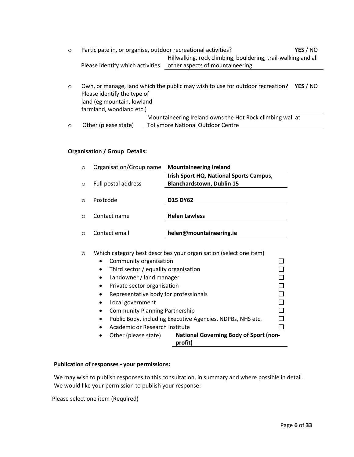- o Participate in, or organise, outdoor recreational activities? **YES** / NO Please identify which activities other aspects of mountaineering Hillwalking, rock climbing, bouldering, trail-walking and all
- o Own, or manage, land which the public may wish to use for outdoor recreation? **YES** / NO Please identify the type of land (eg mountain, lowland farmland, woodland etc.) Mountaineering Ireland owns the Hot Rock climbing wall at

Tollymore National Outdoor Centre

#### **Organisation / Group Details:**

o Other (please state)

| $\Omega$   | Organisation/Group name | <b>Mountaineering Ireland</b>                                     |
|------------|-------------------------|-------------------------------------------------------------------|
|            |                         | Irish Sport HQ, National Sports Campus,                           |
| $\bigcirc$ | Full postal address     | <b>Blanchardstown, Dublin 15</b>                                  |
| $\cap$     | Postcode                | <b>D15 DY62</b>                                                   |
| ∩          | Contact name            | <b>Helen Lawless</b>                                              |
|            |                         |                                                                   |
|            | Contact email           | helen@mountaineering.ie                                           |
|            |                         |                                                                   |
| $\circ$    |                         | Which category best describes your organisation (select one item) |

| Community organisation                                                           |  |
|----------------------------------------------------------------------------------|--|
| Third sector / equality organisation                                             |  |
| Landowner / land manager                                                         |  |
| Private sector organisation                                                      |  |
| Representative body for professionals                                            |  |
| Local government                                                                 |  |
| <b>Community Planning Partnership</b>                                            |  |
| Public Body, including Executive Agencies, NDPBs, NHS etc.                       |  |
| Academic or Research Institute                                                   |  |
| <b>National Governing Body of Sport (non-</b><br>Other (please state)<br>profit) |  |

#### **Publication of responses - your permissions:**

We may wish to publish responses to this consultation, in summary and where possible in detail. We would like your permission to publish your response:

Please select one item (Required)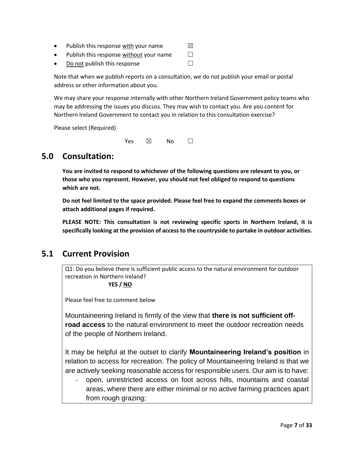- Publish this response with your name  $\boxtimes$
- Publish this response without your name  $□$
- Do not publish this response  $□$

Note that when we publish reports on a consultation, we do not publish your email or postal address or other information about you.

We may share your response internally with other Northern Ireland Government policy teams who may be addressing the issues you discuss. They may wish to contact you. Are you content for Northern Ireland Government to contact you in relation to this consultation exercise?

Please select (Required)

Yes  $\boxtimes$  No  $\Box$ 

## **5.0 Consultation:**

**You are invited to respond to whichever of the following questions are relevant to you, or those who you represent. However, you should not feel obliged to respond to questions which are not.**

**Do not feel limited to the space provided. Please feel free to expand the comments boxes or attach additional pages if required.**

**PLEASE NOTE: This consultation is not reviewing specific sports in Northern Ireland, it is specifically looking at the provision of access to the countryside to partake in outdoor activities.**

## **5.1 Current Provision**

Q1: Do you believe there is sufficient public access to the natural environment for outdoor recreation in Northern Ireland?

 **YES / NO**

Please feel free to comment below

Mountaineering Ireland is firmly of the view that **there is not sufficient offroad access** to the natural environment to meet the outdoor recreation needs of the people of Northern Ireland.

It may be helpful at the outset to clarify **Mountaineering Ireland's position** in relation to access for recreation. The policy of Mountaineering Ireland is that we are actively seeking reasonable access for responsible users. Our aim is to have:

- open, unrestricted access on foot across hills, mountains and coastal areas, where there are either minimal or no active farming practices apart from rough grazing;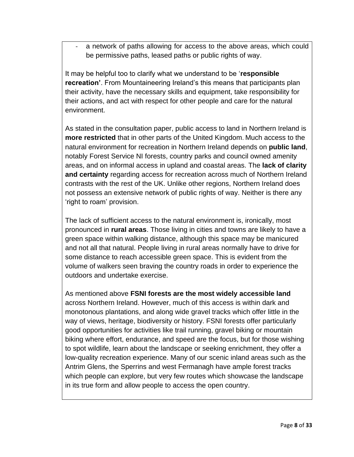a network of paths allowing for access to the above areas, which could be permissive paths, leased paths or public rights of way.

It may be helpful too to clarify what we understand to be '**responsible recreation'**. From Mountaineering Ireland's this means that participants plan their activity, have the necessary skills and equipment, take responsibility for their actions, and act with respect for other people and care for the natural environment.

As stated in the consultation paper, public access to land in Northern Ireland is **more restricted** that in other parts of the United Kingdom. Much access to the natural environment for recreation in Northern Ireland depends on **public land**, notably Forest Service NI forests, country parks and council owned amenity areas, and on informal access in upland and coastal areas. The **lack of clarity and certainty** regarding access for recreation across much of Northern Ireland contrasts with the rest of the UK. Unlike other regions, Northern Ireland does not possess an extensive network of public rights of way. Neither is there any 'right to roam' provision.

The lack of sufficient access to the natural environment is, ironically, most pronounced in **rural areas**. Those living in cities and towns are likely to have a green space within walking distance, although this space may be manicured and not all that natural. People living in rural areas normally have to drive for some distance to reach accessible green space. This is evident from the volume of walkers seen braving the country roads in order to experience the outdoors and undertake exercise.

As mentioned above **FSNI forests are the most widely accessible land** across Northern Ireland. However, much of this access is within dark and monotonous plantations, and along wide gravel tracks which offer little in the way of views, heritage, biodiversity or history. FSNI forests offer particularly good opportunities for activities like trail running, gravel biking or mountain biking where effort, endurance, and speed are the focus, but for those wishing to spot wildlife, learn about the landscape or seeking enrichment, they offer a low-quality recreation experience. Many of our scenic inland areas such as the Antrim Glens, the Sperrins and west Fermanagh have ample forest tracks which people can explore, but very few routes which showcase the landscape in its true form and allow people to access the open country.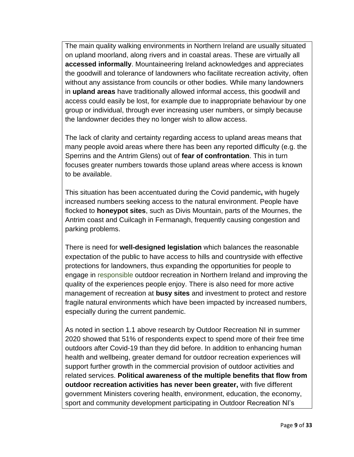The main quality walking environments in Northern Ireland are usually situated on upland moorland, along rivers and in coastal areas. These are virtually all **accessed informally**. Mountaineering Ireland acknowledges and appreciates the goodwill and tolerance of landowners who facilitate recreation activity, often without any assistance from councils or other bodies. While many landowners in **upland areas** have traditionally allowed informal access, this goodwill and access could easily be lost, for example due to inappropriate behaviour by one group or individual, through ever increasing user numbers, or simply because the landowner decides they no longer wish to allow access.

The lack of clarity and certainty regarding access to upland areas means that many people avoid areas where there has been any reported difficulty (e.g. the Sperrins and the Antrim Glens) out of **fear of confrontation**. This in turn focuses greater numbers towards those upland areas where access is known to be available.

This situation has been accentuated during the Covid pandemic**,** with hugely increased numbers seeking access to the natural environment. People have flocked to **honeypot sites**, such as Divis Mountain, parts of the Mournes, the Antrim coast and Cuilcagh in Fermanagh, frequently causing congestion and parking problems.

There is need for **well-designed legislation** which balances the reasonable expectation of the public to have access to hills and countryside with effective protections for landowners, thus expanding the opportunities for people to engage in responsible outdoor recreation in Northern Ireland and improving the quality of the experiences people enjoy. There is also need for more active management of recreation at **busy sites** and investment to protect and restore fragile natural environments which have been impacted by increased numbers, especially during the current pandemic.

As noted in section 1.1 above research by Outdoor Recreation NI in summer 2020 showed that 51% of respondents expect to spend more of their free time outdoors after Covid-19 than they did before. In addition to enhancing human health and wellbeing, greater demand for outdoor recreation experiences will support further growth in the commercial provision of outdoor activities and related services. **Political awareness of the multiple benefits that flow from outdoor recreation activities has never been greater,** with five different government Ministers covering health, environment, education, the economy, sport and community development participating in Outdoor Recreation NI's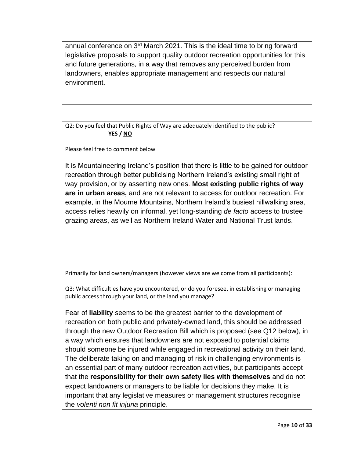annual conference on 3<sup>rd</sup> March 2021. This is the ideal time to bring forward legislative proposals to support quality outdoor recreation opportunities for this and future generations, in a way that removes any perceived burden from landowners, enables appropriate management and respects our natural environment.

Q2: Do you feel that Public Rights of Way are adequately identified to the public?  **YES / NO**

Please feel free to comment below

It is Mountaineering Ireland's position that there is little to be gained for outdoor recreation through better publicising Northern Ireland's existing small right of way provision, or by asserting new ones. **Most existing public rights of way are in urban areas,** and are not relevant to access for outdoor recreation. For example, in the Mourne Mountains, Northern Ireland's busiest hillwalking area, access relies heavily on informal, yet long-standing *de facto* access to trustee grazing areas, as well as Northern Ireland Water and National Trust lands.

Primarily for land owners/managers (however views are welcome from all participants):

Q3: What difficulties have you encountered, or do you foresee, in establishing or managing public access through your land, or the land you manage?

Fear of **liability** seems to be the greatest barrier to the development of recreation on both public and privately-owned land, this should be addressed through the new Outdoor Recreation Bill which is proposed (see Q12 below), in a way which ensures that landowners are not exposed to potential claims should someone be injured while engaged in recreational activity on their land. The deliberate taking on and managing of risk in challenging environments is an essential part of many outdoor recreation activities, but participants accept that the **responsibility for their own safety lies with themselves** and do not expect landowners or managers to be liable for decisions they make. It is important that any legislative measures or management structures recognise the *volenti non fit injuria* principle.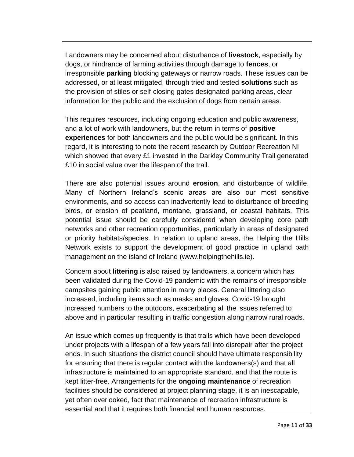Landowners may be concerned about disturbance of **livestock**, especially by dogs, or hindrance of farming activities through damage to **fences**, or irresponsible **parking** blocking gateways or narrow roads. These issues can be addressed, or at least mitigated, through tried and tested **solutions** such as the provision of stiles or self-closing gates designated parking areas, clear information for the public and the exclusion of dogs from certain areas.

This requires resources, including ongoing education and public awareness, and a lot of work with landowners, but the return in terms of **positive experiences** for both landowners and the public would be significant. In this regard, it is interesting to note the recent research by Outdoor Recreation NI which showed that every £1 invested in the Darkley Community Trail generated £10 in social value over the lifespan of the trail.

There are also potential issues around **erosion**, and disturbance of wildlife. Many of Northern Ireland's scenic areas are also our most sensitive environments, and so access can inadvertently lead to disturbance of breeding birds, or erosion of peatland, montane, grassland, or coastal habitats. This potential issue should be carefully considered when developing core path networks and other recreation opportunities, particularly in areas of designated or priority habitats/species. In relation to upland areas, the Helping the Hills Network exists to support the development of good practice in upland path management on the island of Ireland (www.helpingthehills.ie).

Concern about **littering** is also raised by landowners, a concern which has been validated during the Covid-19 pandemic with the remains of irresponsible campsites gaining public attention in many places. General littering also increased, including items such as masks and gloves. Covid-19 brought increased numbers to the outdoors, exacerbating all the issues referred to above and in particular resulting in traffic congestion along narrow rural roads.

An issue which comes up frequently is that trails which have been developed under projects with a lifespan of a few years fall into disrepair after the project ends. In such situations the district council should have ultimate responsibility for ensuring that there is regular contact with the landowners(s) and that all infrastructure is maintained to an appropriate standard, and that the route is kept litter-free. Arrangements for the **ongoing maintenance** of recreation facilities should be considered at project planning stage, it is an inescapable, yet often overlooked, fact that maintenance of recreation infrastructure is essential and that it requires both financial and human resources.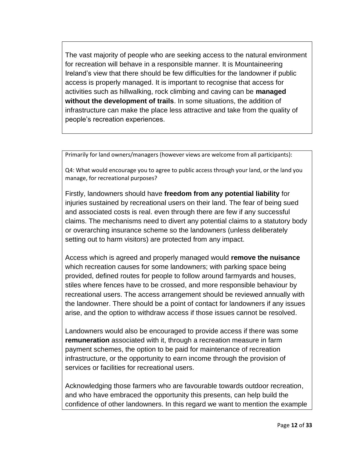The vast majority of people who are seeking access to the natural environment for recreation will behave in a responsible manner. It is Mountaineering Ireland's view that there should be few difficulties for the landowner if public access is properly managed. It is important to recognise that access for activities such as hillwalking, rock climbing and caving can be **managed without the development of trails**. In some situations, the addition of infrastructure can make the place less attractive and take from the quality of people's recreation experiences.

Primarily for land owners/managers (however views are welcome from all participants):

Q4: What would encourage you to agree to public access through your land, or the land you manage, for recreational purposes?

Firstly, landowners should have **freedom from any potential liability** for injuries sustained by recreational users on their land. The fear of being sued and associated costs is real. even through there are few if any successful claims. The mechanisms need to divert any potential claims to a statutory body or overarching insurance scheme so the landowners (unless deliberately setting out to harm visitors) are protected from any impact.

Access which is agreed and properly managed would **remove the nuisance** which recreation causes for some landowners; with parking space being provided, defined routes for people to follow around farmyards and houses, stiles where fences have to be crossed, and more responsible behaviour by recreational users. The access arrangement should be reviewed annually with the landowner. There should be a point of contact for landowners if any issues arise, and the option to withdraw access if those issues cannot be resolved.

Landowners would also be encouraged to provide access if there was some **remuneration** associated with it, through a recreation measure in farm payment schemes, the option to be paid for maintenance of recreation infrastructure, or the opportunity to earn income through the provision of services or facilities for recreational users.

Acknowledging those farmers who are favourable towards outdoor recreation, and who have embraced the opportunity this presents, can help build the confidence of other landowners. In this regard we want to mention the example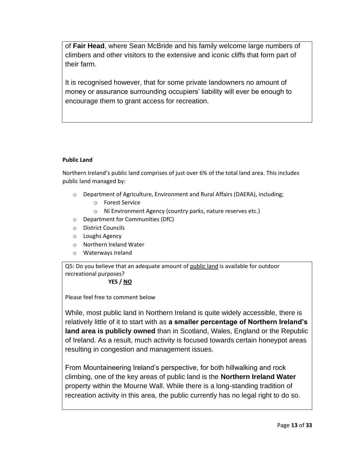of **Fair Head**, where Sean McBride and his family welcome large numbers of climbers and other visitors to the extensive and iconic cliffs that form part of their farm.

It is recognised however, that for some private landowners no amount of money or assurance surrounding occupiers' liability will ever be enough to encourage them to grant access for recreation.

#### **Public Land**

Northern Ireland's public land comprises of just over 6% of the total land area. This includes public land managed by:

- o Department of Agriculture, Environment and Rural Affairs (DAERA), including;
	- o Forest Service
	- o NI Environment Agency (country parks, nature reserves etc.)
- o Department for Communities (DfC)
- o District Councils
- o Loughs Agency
- o Northern Ireland Water
- o Waterways Ireland

Q5: Do you believe that an adequate amount of public land is available for outdoor recreational purposes?

#### **YES / NO**

Please feel free to comment below

While, most public land in Northern Ireland is quite widely accessible, there is relatively little of it to start with as **a smaller percentage of Northern Ireland's land area is publicly owned** than in Scotland, Wales, England or the Republic of Ireland. As a result, much activity is focused towards certain honeypot areas resulting in congestion and management issues.

From Mountaineering Ireland's perspective, for both hillwalking and rock climbing, one of the key areas of public land is the **Northern Ireland Water** property within the Mourne Wall. While there is a long-standing tradition of recreation activity in this area, the public currently has no legal right to do so.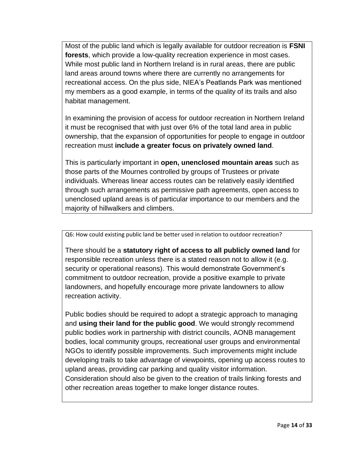Most of the public land which is legally available for outdoor recreation is **FSNI forests**, which provide a low-quality recreation experience in most cases. While most public land in Northern Ireland is in rural areas, there are public land areas around towns where there are currently no arrangements for recreational access. On the plus side, NIEA's Peatlands Park was mentioned my members as a good example, in terms of the quality of its trails and also habitat management.

In examining the provision of access for outdoor recreation in Northern Ireland it must be recognised that with just over 6% of the total land area in public ownership, that the expansion of opportunities for people to engage in outdoor recreation must **include a greater focus on privately owned land**.

This is particularly important in **open, unenclosed mountain areas** such as those parts of the Mournes controlled by groups of Trustees or private individuals. Whereas linear access routes can be relatively easily identified through such arrangements as permissive path agreements, open access to unenclosed upland areas is of particular importance to our members and the majority of hillwalkers and climbers.

Q6: How could existing public land be better used in relation to outdoor recreation?

There should be a **statutory right of access to all publicly owned land** for responsible recreation unless there is a stated reason not to allow it (e.g. security or operational reasons). This would demonstrate Government's commitment to outdoor recreation, provide a positive example to private landowners, and hopefully encourage more private landowners to allow recreation activity.

Public bodies should be required to adopt a strategic approach to managing and **using their land for the public good**. We would strongly recommend public bodies work in partnership with district councils, AONB management bodies, local community groups, recreational user groups and environmental NGOs to identify possible improvements. Such improvements might include developing trails to take advantage of viewpoints, opening up access routes to upland areas, providing car parking and quality visitor information. Consideration should also be given to the creation of trails linking forests and other recreation areas together to make longer distance routes.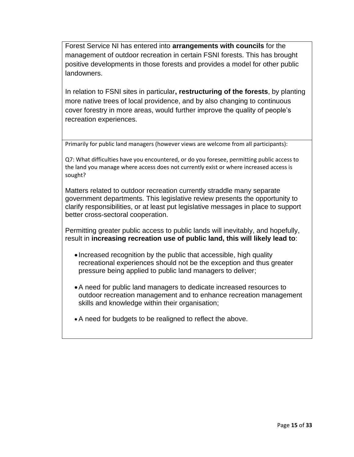Forest Service NI has entered into **arrangements with councils** for the management of outdoor recreation in certain FSNI forests. This has brought positive developments in those forests and provides a model for other public landowners.

In relation to FSNI sites in particular**, restructuring of the forests**, by planting more native trees of local providence, and by also changing to continuous cover forestry in more areas, would further improve the quality of people's recreation experiences.

Primarily for public land managers (however views are welcome from all participants):

Q7: What difficulties have you encountered, or do you foresee, permitting public access to the land you manage where access does not currently exist or where increased access is sought?

Matters related to outdoor recreation currently straddle many separate government departments. This legislative review presents the opportunity to clarify responsibilities, or at least put legislative messages in place to support better cross-sectoral cooperation.

Permitting greater public access to public lands will inevitably, and hopefully, result in **increasing recreation use of public land, this will likely lead to**:

- Increased recognition by the public that accessible, high quality recreational experiences should not be the exception and thus greater pressure being applied to public land managers to deliver;
- •A need for public land managers to dedicate increased resources to outdoor recreation management and to enhance recreation management skills and knowledge within their organisation;
- A need for budgets to be realigned to reflect the above.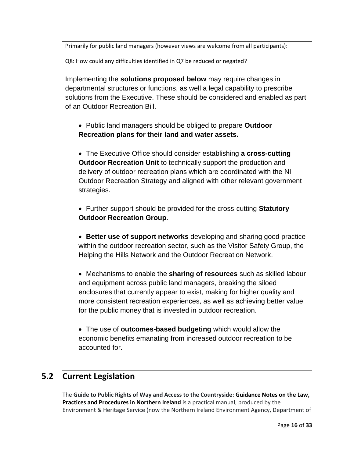Primarily for public land managers (however views are welcome from all participants):

Q8: How could any difficulties identified in Q7 be reduced or negated?

Implementing the **solutions proposed below** may require changes in departmental structures or functions, as well a legal capability to prescribe solutions from the Executive. These should be considered and enabled as part of an Outdoor Recreation Bill.

• Public land managers should be obliged to prepare **Outdoor Recreation plans for their land and water assets.**

• The Executive Office should consider establishing **a cross-cutting Outdoor Recreation Unit to technically support the production and** delivery of outdoor recreation plans which are coordinated with the NI Outdoor Recreation Strategy and aligned with other relevant government strategies.

• Further support should be provided for the cross-cutting **Statutory Outdoor Recreation Group**.

• **Better use of support networks** developing and sharing good practice within the outdoor recreation sector, such as the Visitor Safety Group, the Helping the Hills Network and the Outdoor Recreation Network.

• Mechanisms to enable the **sharing of resources** such as skilled labour and equipment across public land managers, breaking the siloed enclosures that currently appear to exist, making for higher quality and more consistent recreation experiences, as well as achieving better value for the public money that is invested in outdoor recreation.

• The use of **outcomes-based budgeting** which would allow the economic benefits emanating from increased outdoor recreation to be accounted for.

## **5.2 Current Legislation**

The **Guide to Public Rights of Way and Access to the Countryside: Guidance Notes on the Law, Practices and Procedures in Northern Ireland** is a practical manual, produced by the Environment & Heritage Service (now the Northern Ireland Environment Agency, Department of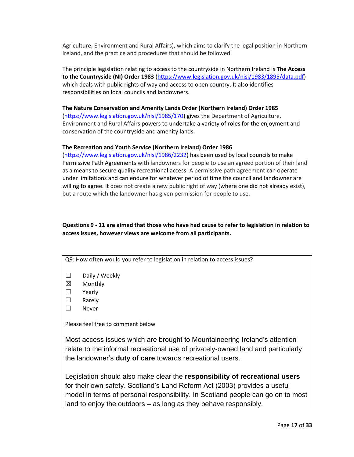Agriculture, Environment and Rural Affairs), which aims to clarify the legal position in Northern Ireland, and the practice and procedures that should be followed.

The principle legislation relating to access to the countryside in Northern Ireland is **The Access to the Countryside (NI) Order 1983** [\(https://www.legislation.gov.uk/nisi/1983/1895/data.pdf\)](https://www.legislation.gov.uk/nisi/1983/1895/data.pdf) which deals with public rights of way and access to open country. It also identifies responsibilities on local councils and landowners.

#### **The Nature Conservation and Amenity Lands Order (Northern Ireland) Order 1985**

[\(https://www.legislation.gov.uk/nisi/1985/170\)](https://www.legislation.gov.uk/nisi/1985/170) gives the Department of Agriculture, Environment and Rural Affairs powers to undertake a variety of roles for the enjoyment and conservation of the countryside and amenity lands.

#### **The Recreation and Youth Service (Northern Ireland) Order 1986**

[\(https://www.legislation.gov.uk/nisi/1986/2232\)](https://www.legislation.gov.uk/nisi/1986/2232) has been used by local councils to make Permissive Path Agreements with landowners for people to use an agreed portion of their land as a means to secure quality recreational access. A permissive path agreement can operate under limitations and can endure for whatever period of time the council and landowner are willing to agree. It does not create a new public right of way (where one did not already exist), but a route which the landowner has given permission for people to use.

#### **Questions 9 - 11 are aimed that those who have had cause to refer to legislation in relation to access issues, however views are welcome from all participants.**

Q9: How often would you refer to legislation in relation to access issues?

- ☐ Daily / Weekly
- ☒ Monthly
- ☐ Yearly
- ☐ Rarely
- ☐ Never

Please feel free to comment below

Most access issues which are brought to Mountaineering Ireland's attention relate to the informal recreational use of privately-owned land and particularly the landowner's **duty of care** towards recreational users.

Legislation should also make clear the **responsibility of recreational users** for their own safety. Scotland's Land Reform Act (2003) provides a useful model in terms of personal responsibility. In Scotland people can go on to most land to enjoy the outdoors – as long as they behave responsibly.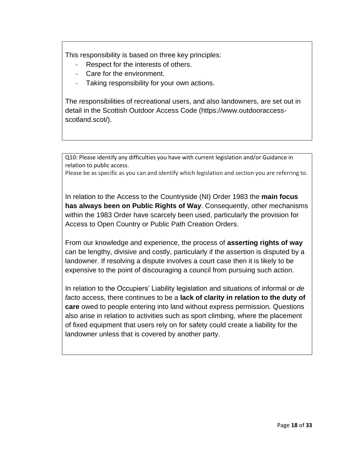This responsibility is based on three key principles:

- Respect for the interests of others.
- Care for the environment.
- Taking responsibility for your own actions.

The responsibilities of recreational users, and also landowners, are set out in detail in the Scottish Outdoor Access Code (https://www.outdooraccessscotland.scot/).

Q10: Please identify any difficulties you have with current legislation and/or Guidance in relation to public access.

Please be as specific as you can and identify which legislation and section you are referring to.

In relation to the Access to the Countryside (NI) Order 1983 the **main focus has always been on Public Rights of Way**. Consequently, other mechanisms within the 1983 Order have scarcely been used, particularly the provision for Access to Open Country or Public Path Creation Orders.

From our knowledge and experience, the process of **asserting rights of way** can be lengthy, divisive and costly, particularly if the assertion is disputed by a landowner. If resolving a dispute involves a court case then it is likely to be expensive to the point of discouraging a council from pursuing such action.

In relation to the Occupiers' Liability legislation and situations of informal or *de facto* access, there continues to be a **lack of clarity in relation to the duty of care** owed to people entering into land without express permission. Questions also arise in relation to activities such as sport climbing, where the placement of fixed equipment that users rely on for safety could create a liability for the landowner unless that is covered by another party.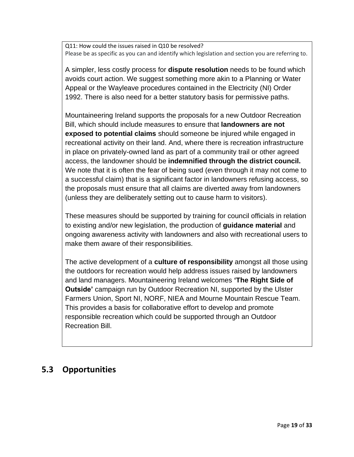Q11: How could the issues raised in Q10 be resolved? Please be as specific as you can and identify which legislation and section you are referring to.

A simpler, less costly process for **dispute resolution** needs to be found which avoids court action. We suggest something more akin to a Planning or Water Appeal or the Wayleave procedures contained in the Electricity (NI) Order 1992. There is also need for a better statutory basis for permissive paths.

Mountaineering Ireland supports the proposals for a new Outdoor Recreation Bill, which should include measures to ensure that **landowners are not exposed to potential claims** should someone be injured while engaged in recreational activity on their land. And, where there is recreation infrastructure in place on privately-owned land as part of a community trail or other agreed access, the landowner should be **indemnified through the district council.** We note that it is often the fear of being sued (even through it may not come to a successful claim) that is a significant factor in landowners refusing access, so the proposals must ensure that all claims are diverted away from landowners (unless they are deliberately setting out to cause harm to visitors).

These measures should be supported by training for council officials in relation to existing and/or new legislation, the production of **guidance material** and ongoing awareness activity with landowners and also with recreational users to make them aware of their responsibilities.

The active development of a **culture of responsibility** amongst all those using the outdoors for recreation would help address issues raised by landowners and land managers. Mountaineering Ireland welcomes **'The Right Side of Outside'** campaign run by Outdoor Recreation NI, supported by the Ulster Farmers Union, Sport NI, NORF, NIEA and Mourne Mountain Rescue Team. This provides a basis for collaborative effort to develop and promote responsible recreation which could be supported through an Outdoor Recreation Bill.

## **5.3 Opportunities**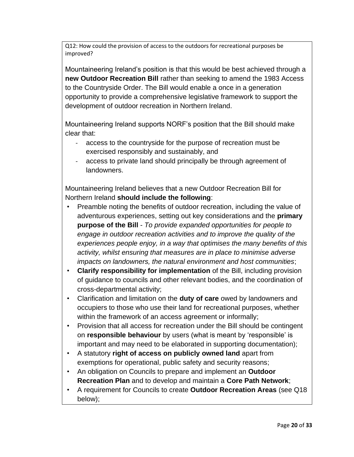Q12: How could the provision of access to the outdoors for recreational purposes be improved?

Mountaineering Ireland's position is that this would be best achieved through a **new Outdoor Recreation Bill** rather than seeking to amend the 1983 Access to the Countryside Order. The Bill would enable a once in a generation opportunity to provide a comprehensive legislative framework to support the development of outdoor recreation in Northern Ireland.

Mountaineering Ireland supports NORF's position that the Bill should make clear that:

- access to the countryside for the purpose of recreation must be exercised responsibly and sustainably, and
- access to private land should principally be through agreement of landowners.

Mountaineering Ireland believes that a new Outdoor Recreation Bill for Northern Ireland **should include the following**:

- Preamble noting the benefits of outdoor recreation, including the value of adventurous experiences, setting out key considerations and the **primary purpose of the Bill** - *To provide expanded opportunities for people to engage in outdoor recreation activities and to improve the quality of the experiences people enjoy, in a way that optimises the many benefits of this activity, whilst ensuring that measures are in place to minimise adverse impacts on landowners, the natural environment and host communities*;
- **Clarify responsibility for implementation** of the Bill, including provision of guidance to councils and other relevant bodies, and the coordination of cross-departmental activity;
- Clarification and limitation on the **duty of care** owed by landowners and occupiers to those who use their land for recreational purposes, whether within the framework of an access agreement or informally;
- Provision that all access for recreation under the Bill should be contingent on **responsible behaviour** by users (what is meant by 'responsible' is important and may need to be elaborated in supporting documentation);
- A statutory **right of access on publicly owned land** apart from exemptions for operational, public safety and security reasons;
- An obligation on Councils to prepare and implement an **Outdoor Recreation Plan** and to develop and maintain a **Core Path Network**;
- A requirement for Councils to create **Outdoor Recreation Areas** (see Q18 below);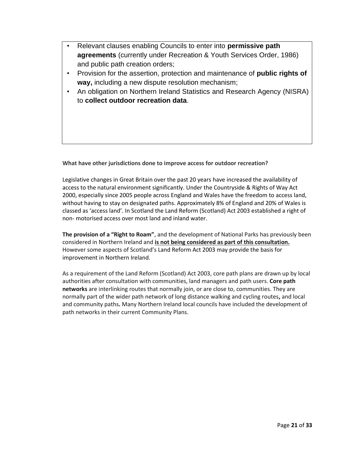- Relevant clauses enabling Councils to enter into **permissive path agreements** (currently under Recreation & Youth Services Order, 1986) and public path creation orders;
- Provision for the assertion, protection and maintenance of **public rights of way,** including a new dispute resolution mechanism;
- An obligation on Northern Ireland Statistics and Research Agency (NISRA) to **collect outdoor recreation data**.

**What have other jurisdictions done to improve access for outdoor recreation?**

Legislative changes in Great Britain over the past 20 years have increased the availability of access to the natural environment significantly. Under the Countryside & Rights of Way Act 2000, especially since 2005 people across England and Wales have the freedom to access land, without having to stay on designated paths. Approximately 8% of England and 20% of Wales is classed as 'access land'. In Scotland the Land Reform (Scotland) Act 2003 established a right of non- motorised access over most land and inland water.

**The provision of a "Right to Roam"**, and the development of National Parks has previously been considered in Northern Ireland and **is not being considered as part of this consultation.**  However some aspects of Scotland's Land Reform Act 2003 may provide the basis for improvement in Northern Ireland.

As a requirement of the Land Reform (Scotland) Act 2003, core path plans are drawn up by local authorities after consultation with communities, land managers and path users. **Core path networks** are interlinking routes that normally join, or are close to, communities. They are normally part of the wider path network of long distance walking and cycling routes**,** and local and community paths**.** Many Northern Ireland local councils have included the development of path networks in their current Community Plans.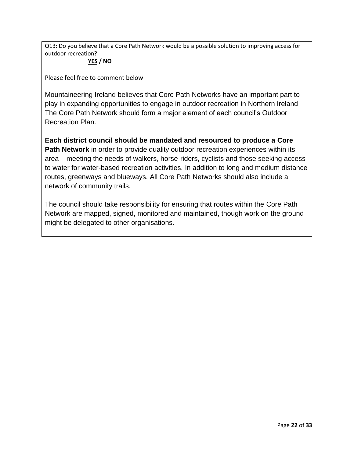Q13: Do you believe that a Core Path Network would be a possible solution to improving access for outdoor recreation?

### **YES / NO**

Please feel free to comment below

Mountaineering Ireland believes that Core Path Networks have an important part to play in expanding opportunities to engage in outdoor recreation in Northern Ireland The Core Path Network should form a major element of each council's Outdoor Recreation Plan.

**Each district council should be mandated and resourced to produce a Core Path Network** in order to provide quality outdoor recreation experiences within its area – meeting the needs of walkers, horse-riders, cyclists and those seeking access to water for water-based recreation activities. In addition to long and medium distance routes, greenways and blueways, All Core Path Networks should also include a network of community trails.

The council should take responsibility for ensuring that routes within the Core Path Network are mapped, signed, monitored and maintained, though work on the ground might be delegated to other organisations.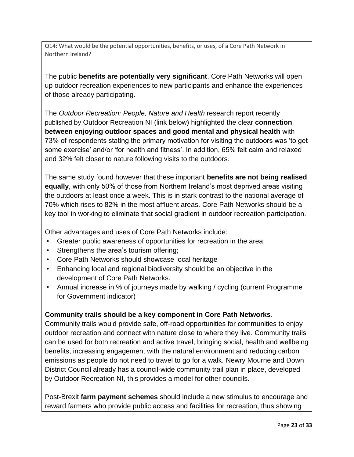Q14: What would be the potential opportunities, benefits, or uses, of a Core Path Network in Northern Ireland?

The public **benefits are potentially very significant**, Core Path Networks will open up outdoor recreation experiences to new participants and enhance the experiences of those already participating.

The *Outdoor Recreation: People, Nature and Health* research report recently published by Outdoor Recreation NI (link below) highlighted the clear **connection between enjoying outdoor spaces and good mental and physical health** with 73% of respondents stating the primary motivation for visiting the outdoors was 'to get some exercise' and/or 'for health and fitness'. In addition, 65% felt calm and relaxed and 32% felt closer to nature following visits to the outdoors.

The same study found however that these important **benefits are not being realised equally**, with only 50% of those from Northern Ireland's most deprived areas visiting the outdoors at least once a week. This is in stark contrast to the national average of 70% which rises to 82% in the most affluent areas. Core Path Networks should be a key tool in working to eliminate that social gradient in outdoor recreation participation.

Other advantages and uses of Core Path Networks include:

- Greater public awareness of opportunities for recreation in the area;
- Strengthens the area's tourism offering;
- Core Path Networks should showcase local heritage
- Enhancing local and regional biodiversity should be an objective in the development of Core Path Networks.
- Annual increase in % of journeys made by walking / cycling (current Programme for Government indicator)

## **Community trails should be a key component in Core Path Networks**.

Community trails would provide safe, off-road opportunities for communities to enjoy outdoor recreation and connect with nature close to where they live. Community trails can be used for both recreation and active travel, bringing social, health and wellbeing benefits, increasing engagement with the natural environment and reducing carbon emissions as people do not need to travel to go for a walk. Newry Mourne and Down District Council already has a council-wide community trail plan in place, developed by Outdoor Recreation NI, this provides a model for other councils.

Post-Brexit **farm payment schemes** should include a new stimulus to encourage and reward farmers who provide public access and facilities for recreation, thus showing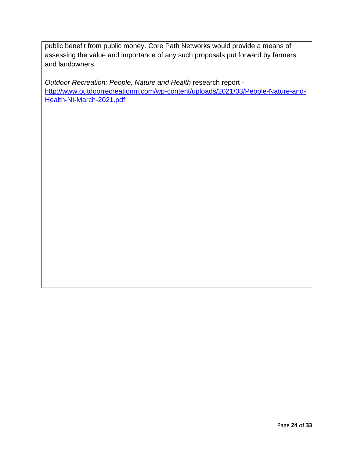public benefit from public money. Core Path Networks would provide a means of assessing the value and importance of any such proposals put forward by farmers and landowners.

*Outdoor Recreation: People, Nature and Health* research report [http://www.outdoorrecreationni.com/wp-content/uploads/2021/03/People-Nature-and-](http://www.outdoorrecreationni.com/wp-content/uploads/2021/03/People-Nature-and-Health-NI-March-2021.pdf)[Health-NI-March-2021.pdf](http://www.outdoorrecreationni.com/wp-content/uploads/2021/03/People-Nature-and-Health-NI-March-2021.pdf)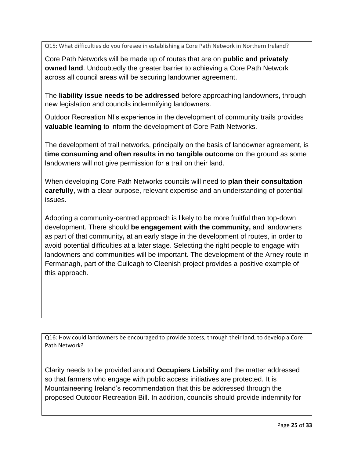Q15: What difficulties do you foresee in establishing a Core Path Network in Northern Ireland?

Core Path Networks will be made up of routes that are on **public and privately owned land**. Undoubtedly the greater barrier to achieving a Core Path Network across all council areas will be securing landowner agreement.

The **liability issue needs to be addressed** before approaching landowners, through new legislation and councils indemnifying landowners.

Outdoor Recreation NI's experience in the development of community trails provides **valuable learning** to inform the development of Core Path Networks.

The development of trail networks, principally on the basis of landowner agreement, is **time consuming and often results in no tangible outcome** on the ground as some landowners will not give permission for a trail on their land.

When developing Core Path Networks councils will need to **plan their consultation carefully**, with a clear purpose, relevant expertise and an understanding of potential issues.

Adopting a community-centred approach is likely to be more fruitful than top-down development. There should **be engagement with the community,** and landowners as part of that community**,** at an early stage in the development of routes, in order to avoid potential difficulties at a later stage. Selecting the right people to engage with landowners and communities will be important. The development of the Arney route in Fermanagh, part of the Cuilcagh to Cleenish project provides a positive example of this approach.

Q16: How could landowners be encouraged to provide access, through their land, to develop a Core Path Network?

Clarity needs to be provided around **Occupiers Liability** and the matter addressed so that farmers who engage with public access initiatives are protected. It is Mountaineering Ireland's recommendation that this be addressed through the proposed Outdoor Recreation Bill. In addition, councils should provide indemnity for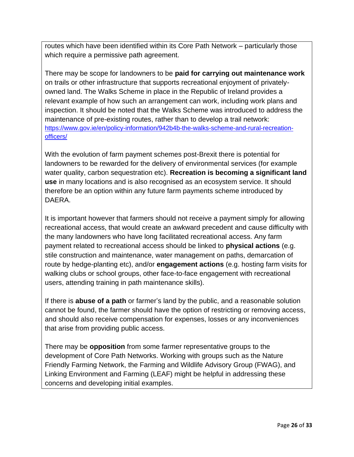routes which have been identified within its Core Path Network – particularly those which require a permissive path agreement.

There may be scope for landowners to be **paid for carrying out maintenance work** on trails or other infrastructure that supports recreational enjoyment of privatelyowned land. The Walks Scheme in place in the Republic of Ireland provides a relevant example of how such an arrangement can work, including work plans and inspection. It should be noted that the Walks Scheme was introduced to address the maintenance of pre-existing routes, rather than to develop a trail network: [https://www.gov.ie/en/policy-information/942b4b-the-walks-scheme-and-rural-recreation](https://www.gov.ie/en/policy-information/942b4b-the-walks-scheme-and-rural-recreation-officers/)[officers/](https://www.gov.ie/en/policy-information/942b4b-the-walks-scheme-and-rural-recreation-officers/)

With the evolution of farm payment schemes post-Brexit there is potential for landowners to be rewarded for the delivery of environmental services (for example water quality, carbon sequestration etc). **Recreation is becoming a significant land use** in many locations and is also recognised as an ecosystem service. It should therefore be an option within any future farm payments scheme introduced by DAERA.

It is important however that farmers should not receive a payment simply for allowing recreational access, that would create an awkward precedent and cause difficulty with the many landowners who have long facilitated recreational access. Any farm payment related to recreational access should be linked to **physical actions** (e.g. stile construction and maintenance, water management on paths, demarcation of route by hedge-planting etc), and/or **engagement actions** (e.g. hosting farm visits for walking clubs or school groups, other face-to-face engagement with recreational users, attending training in path maintenance skills).

If there is **abuse of a path** or farmer's land by the public, and a reasonable solution cannot be found, the farmer should have the option of restricting or removing access, and should also receive compensation for expenses, losses or any inconveniences that arise from providing public access.

There may be **opposition** from some farmer representative groups to the development of Core Path Networks. Working with groups such as the Nature Friendly Farming Network, the Farming and Wildlife Advisory Group (FWAG), and Linking Environment and Farming (LEAF) might be helpful in addressing these concerns and developing initial examples.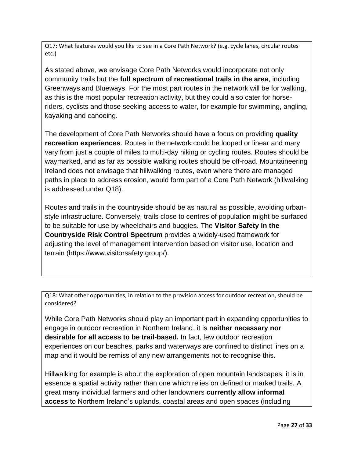Q17: What features would you like to see in a Core Path Network? (e.g. cycle lanes, circular routes etc.)

As stated above, we envisage Core Path Networks would incorporate not only community trails but the **full spectrum of recreational trails in the area**, including Greenways and Blueways. For the most part routes in the network will be for walking, as this is the most popular recreation activity, but they could also cater for horseriders, cyclists and those seeking access to water, for example for swimming, angling, kayaking and canoeing.

The development of Core Path Networks should have a focus on providing **quality recreation experiences**. Routes in the network could be looped or linear and mary vary from just a couple of miles to multi-day hiking or cycling routes. Routes should be waymarked, and as far as possible walking routes should be off-road. Mountaineering Ireland does not envisage that hillwalking routes, even where there are managed paths in place to address erosion, would form part of a Core Path Network (hillwalking is addressed under Q18).

Routes and trails in the countryside should be as natural as possible, avoiding urbanstyle infrastructure. Conversely, trails close to centres of population might be surfaced to be suitable for use by wheelchairs and buggies. The **Visitor Safety in the Countryside Risk Control Spectrum** provides a widely-used framework for adjusting the level of management intervention based on visitor use, location and terrain (https://www.visitorsafety.group/).

Q18: What other opportunities, in relation to the provision access for outdoor recreation, should be considered?

While Core Path Networks should play an important part in expanding opportunities to engage in outdoor recreation in Northern Ireland, it is **neither necessary nor desirable for all access to be trail-based.** In fact, few outdoor recreation experiences on our beaches, parks and waterways are confined to distinct lines on a map and it would be remiss of any new arrangements not to recognise this.

Hillwalking for example is about the exploration of open mountain landscapes, it is in essence a spatial activity rather than one which relies on defined or marked trails. A great many individual farmers and other landowners **currently allow informal access** to Northern Ireland's uplands, coastal areas and open spaces (including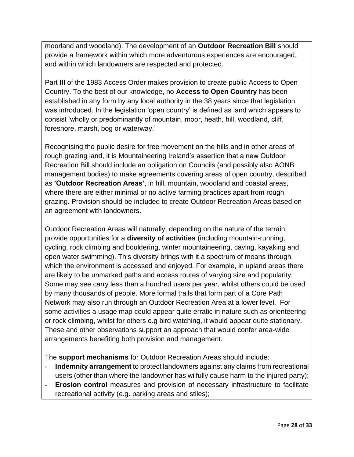moorland and woodland). The development of an **Outdoor Recreation Bill** should provide a framework within which more adventurous experiences are encouraged, and within which landowners are respected and protected.

Part III of the 1983 Access Order makes provision to create public Access to Open Country. To the best of our knowledge, no **Access to Open Country** has been established in any form by any local authority in the 38 years since that legislation was introduced. In the legislation 'open country' is defined as land which appears to consist 'wholly or predominantly of mountain, moor, heath, hill, woodland, cliff, foreshore, marsh, bog or waterway.'

Recognising the public desire for free movement on the hills and in other areas of rough grazing land, it is Mountaineering Ireland's assertion that a new Outdoor Recreation Bill should include an obligation on Councils (and possibly also AONB management bodies) to make agreements covering areas of open country, described as **'Outdoor Recreation Areas'**, in hill, mountain, woodland and coastal areas, where there are either minimal or no active farming practices apart from rough grazing. Provision should be included to create Outdoor Recreation Areas based on an agreement with landowners.

Outdoor Recreation Areas will naturally, depending on the nature of the terrain, provide opportunities for a **diversity of activities** (including mountain-running, cycling, rock climbing and bouldering, winter mountaineering, caving, kayaking and open water swimming). This diversity brings with it a spectrum of means through which the environment is accessed and enjoyed. For example, in upland areas there are likely to be unmarked paths and access routes of varying size and popularity. Some may see carry less than a hundred users per year, whilst others could be used by many thousands of people. More formal trails that form part of a Core Path Network may also run through an Outdoor Recreation Area at a lower level. For some activities a usage map could appear quite erratic in nature such as orienteering or rock climbing, whilst for others e.g bird watching, it would appear quite stationary. These and other observations support an approach that would confer area-wide arrangements benefiting both provision and management.

The **support mechanisms** for Outdoor Recreation Areas should include:

- **Indemnity arrangement** to protect landowners against any claims from recreational users (other than where the landowner has wilfully cause harm to the injured party);
- **Erosion control** measures and provision of necessary infrastructure to facilitate recreational activity (e.g. parking areas and stiles);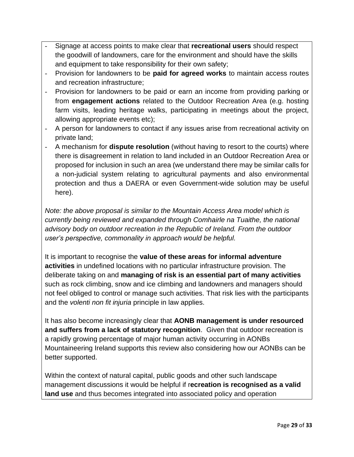- Signage at access points to make clear that **recreational users** should respect the goodwill of landowners, care for the environment and should have the skills and equipment to take responsibility for their own safety;
- Provision for landowners to be **paid for agreed works** to maintain access routes and recreation infrastructure;
- Provision for landowners to be paid or earn an income from providing parking or from **engagement actions** related to the Outdoor Recreation Area (e.g. hosting farm visits, leading heritage walks, participating in meetings about the project, allowing appropriate events etc);
- A person for landowners to contact if any issues arise from recreational activity on private land;
- A mechanism for **dispute resolution** (without having to resort to the courts) where there is disagreement in relation to land included in an Outdoor Recreation Area or proposed for inclusion in such an area (we understand there may be similar calls for a non-judicial system relating to agricultural payments and also environmental protection and thus a DAERA or even Government-wide solution may be useful here).

*Note: the above proposal is similar to the Mountain Access Area model which is currently being reviewed and expanded through Comhairle na Tuaithe, the national advisory body on outdoor recreation in the Republic of Ireland. From the outdoor user's perspective, commonality in approach would be helpful.*

It is important to recognise the **value of these areas for informal adventure activities** in undefined locations with no particular infrastructure provision. The deliberate taking on and **managing of risk is an essential part of many activities** such as rock climbing, snow and ice climbing and landowners and managers should not feel obliged to control or manage such activities. That risk lies with the participants and the *volenti non fit injuria* principle in law applies.

It has also become increasingly clear that **AONB management is under resourced and suffers from a lack of statutory recognition**. Given that outdoor recreation is a rapidly growing percentage of major human activity occurring in AONBs Mountaineering Ireland supports this review also considering how our AONBs can be better supported.

Within the context of natural capital, public goods and other such landscape management discussions it would be helpful if r**ecreation is recognised as a valid land use** and thus becomes integrated into associated policy and operation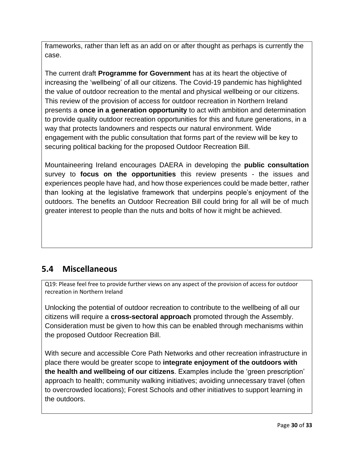frameworks, rather than left as an add on or after thought as perhaps is currently the case.

The current draft **Programme for Government** has at its heart the objective of increasing the 'wellbeing' of all our citizens. The Covid-19 pandemic has highlighted the value of outdoor recreation to the mental and physical wellbeing or our citizens. This review of the provision of access for outdoor recreation in Northern Ireland presents a **once in a generation opportunity** to act with ambition and determination to provide quality outdoor recreation opportunities for this and future generations, in a way that protects landowners and respects our natural environment. Wide engagement with the public consultation that forms part of the review will be key to securing political backing for the proposed Outdoor Recreation Bill.

Mountaineering Ireland encourages DAERA in developing the **public consultation** survey to **focus on the opportunities** this review presents - the issues and experiences people have had, and how those experiences could be made better, rather than looking at the legislative framework that underpins people's enjoyment of the outdoors. The benefits an Outdoor Recreation Bill could bring for all will be of much greater interest to people than the nuts and bolts of how it might be achieved.

## **5.4 Miscellaneous**

Q19: Please feel free to provide further views on any aspect of the provision of access for outdoor recreation in Northern Ireland

Unlocking the potential of outdoor recreation to contribute to the wellbeing of all our citizens will require a **cross-sectoral approach** promoted through the Assembly. Consideration must be given to how this can be enabled through mechanisms within the proposed Outdoor Recreation Bill.

With secure and accessible Core Path Networks and other recreation infrastructure in place there would be greater scope to **integrate enjoyment of the outdoors with the health and wellbeing of our citizens**. Examples include the 'green prescription' approach to health; community walking initiatives; avoiding unnecessary travel (often to overcrowded locations); Forest Schools and other initiatives to support learning in the outdoors.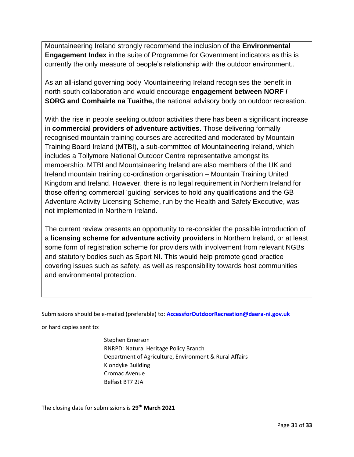Mountaineering Ireland strongly recommend the inclusion of the **Environmental Engagement Index** in the suite of Programme for Government indicators as this is currently the only measure of people's relationship with the outdoor environment..

As an all-island governing body Mountaineering Ireland recognises the benefit in north-south collaboration and would encourage **engagement between NORF / SORG and Comhairle na Tuaithe,** the national advisory body on outdoor recreation.

With the rise in people seeking outdoor activities there has been a significant increase in **commercial providers of adventure activities**. Those delivering formally recognised mountain training courses are accredited and moderated by Mountain Training Board Ireland (MTBI), a sub-committee of Mountaineering Ireland, which includes a Tollymore National Outdoor Centre representative amongst its membership. MTBI and Mountaineering Ireland are also members of the UK and Ireland mountain training co-ordination organisation – Mountain Training United Kingdom and Ireland. However, there is no legal requirement in Northern Ireland for those offering commercial 'guiding' services to hold any qualifications and the GB Adventure Activity Licensing Scheme, run by the Health and Safety Executive, was not implemented in Northern Ireland.

The current review presents an opportunity to re-consider the possible introduction of a **licensing scheme for adventure activity providers** in Northern Ireland, or at least some form of registration scheme for providers with involvement from relevant NGBs and statutory bodies such as Sport NI. This would help promote good practice covering issues such as safety, as well as responsibility towards host communities and environmental protection.

Submissions should be e-mailed (preferable) to: **[AccessforOutdoorRecreation@daera-ni.gov.uk](mailto:AccessforOutdoorRecreation@daera-ni.gov.uk)**

or hard copies sent to:

Stephen Emerson RNRPD: Natural Heritage Policy Branch Department of Agriculture, Environment & Rural Affairs Klondyke Building Cromac Avenue Belfast BT7 2JA

The closing date for submissions is **29th March 2021**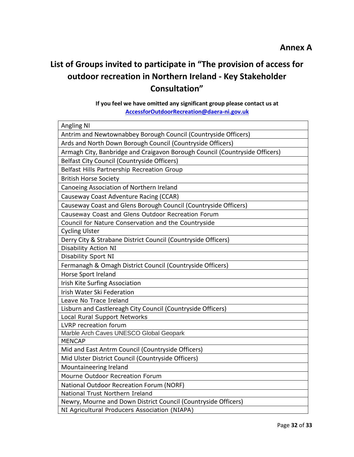## **List of Groups invited to participate in "The provision of access for outdoor recreation in Northern Ireland - Key Stakeholder Consultation"**

### **If you feel we have omitted any significant group please contact us at [AccessforOutdoorRecreation@daera-ni.gov.uk](mailto:AccessforOutdoorRecreation@daera-ni.gov.uk)**

| <b>Angling NI</b>                                                                                               |
|-----------------------------------------------------------------------------------------------------------------|
| Antrim and Newtownabbey Borough Council (Countryside Officers)                                                  |
| Ards and North Down Borough Council (Countryside Officers)                                                      |
| Armagh City, Banbridge and Craigavon Borough Council (Countryside Officers)                                     |
| <b>Belfast City Council (Countryside Officers)</b>                                                              |
| Belfast Hills Partnership Recreation Group                                                                      |
| <b>British Horse Society</b>                                                                                    |
| Canoeing Association of Northern Ireland                                                                        |
| Causeway Coast Adventure Racing (CCAR)                                                                          |
| Causeway Coast and Glens Borough Council (Countryside Officers)                                                 |
| Causeway Coast and Glens Outdoor Recreation Forum                                                               |
| Council for Nature Conservation and the Countryside                                                             |
| <b>Cycling Ulster</b>                                                                                           |
| Derry City & Strabane District Council (Countryside Officers)                                                   |
| Disability Action NI                                                                                            |
| Disability Sport NI                                                                                             |
| Fermanagh & Omagh District Council (Countryside Officers)                                                       |
| Horse Sport Ireland                                                                                             |
| Irish Kite Surfing Association                                                                                  |
| Irish Water Ski Federation                                                                                      |
| Leave No Trace Ireland                                                                                          |
| Lisburn and Castlereagh City Council (Countryside Officers)                                                     |
| Local Rural Support Networks                                                                                    |
| LVRP recreation forum                                                                                           |
| Marble Arch Caves UNESCO Global Geopark                                                                         |
| <b>MENCAP</b>                                                                                                   |
| Mid and East Antrm Council (Countryside Officers)                                                               |
| Mid Ulster District Council (Countryside Officers)                                                              |
| Mountaineering Ireland                                                                                          |
| Mourne Outdoor Recreation Forum                                                                                 |
| National Outdoor Recreation Forum (NORF)                                                                        |
| National Trust Northern Ireland                                                                                 |
| Newry, Mourne and Down District Council (Countryside Officers)<br>NI Agricultural Producers Association (NIAPA) |
|                                                                                                                 |